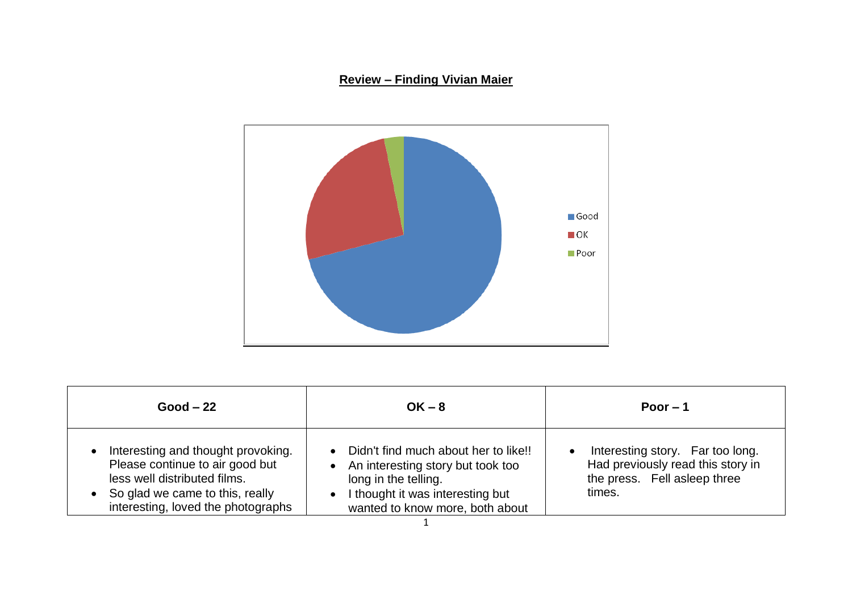## **Review – Finding Vivian Maier**



| $Good - 22$                                                                                                                                                                    | $OK - 8$                                                                                                                                                                                             | Poor $-1$                                                                                                       |
|--------------------------------------------------------------------------------------------------------------------------------------------------------------------------------|------------------------------------------------------------------------------------------------------------------------------------------------------------------------------------------------------|-----------------------------------------------------------------------------------------------------------------|
| Interesting and thought provoking.<br>Please continue to air good but<br>less well distributed films.<br>So glad we came to this, really<br>interesting, loved the photographs | Didn't find much about her to like!!<br>$\bullet$<br>• An interesting story but took too<br>long in the telling.<br>I thought it was interesting but<br>$\bullet$<br>wanted to know more, both about | Interesting story. Far too long.<br>Had previously read this story in<br>the press. Fell asleep three<br>times. |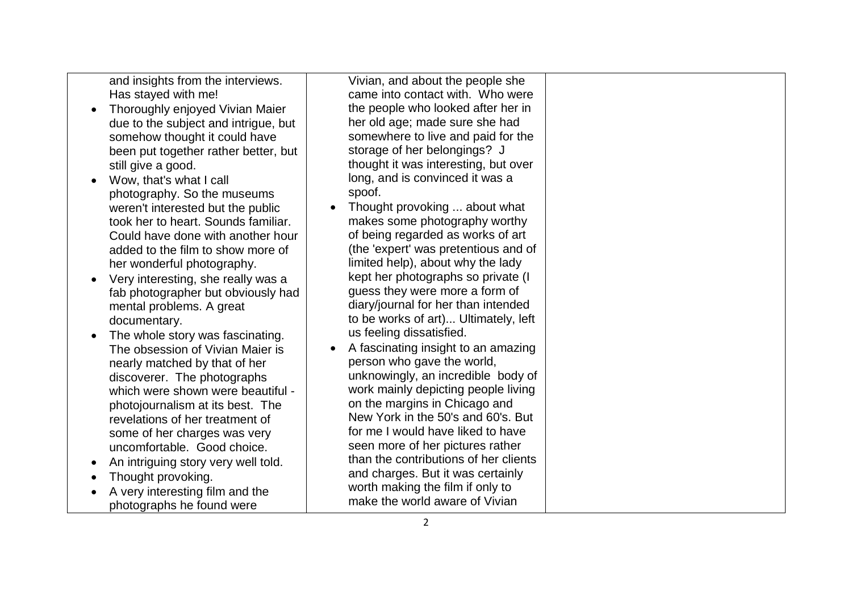and insights from the interviews. Has stayed with me!

- Thoroughly enjoyed Vivian Majer due to the subject and intrigue, but somehow thought it could have been put together rather better, but still give a good.
- Wow, that's what I call photography. So the museums weren't interested but the public took her to heart. Sounds familiar. Could have done with another hour added to the film to show more of her wonderful photography.
- Very interesting, she really was a fab photographer but obviously had mental problems. A great documentary.
- The whole story was fascinating. The obsession of Vivian Maier is nearly matched by that of her discoverer. The photographs which were shown were beautiful photojournalism at its best. The revelations of her treatment of some of her charges was very uncomfortable. Good choice.
- An intriguing story very well told.
- Thought provoking.
- A very interesting film and the photographs he found were

Vivian, and about the people she came into contact with. Who were the people who looked after her in her old age; made sure she had somewhere to live and paid for the storage of her belongings? J thought it was interesting, but over long, and is convinced it was a spoof.

- Thought provoking ... about what makes some photography worthy of being regarded as works of art (the 'expert' was pretentious and of limited help), about why the lady kept her photographs so private (I guess they were more a form of diary/journal for her than intended to be works of art)... Ultimately, left us feeling dissatisfied.
- A fascinating insight to an amazing person who gave the world, unknowingly, an incredible body of work mainly depicting people living on the margins in Chicago and New York in the 50's and 60's. But for me I would have liked to have seen more of her pictures rather than the contributions of her clients and charges. But it was certainly worth making the film if only to make the world aware of Vivian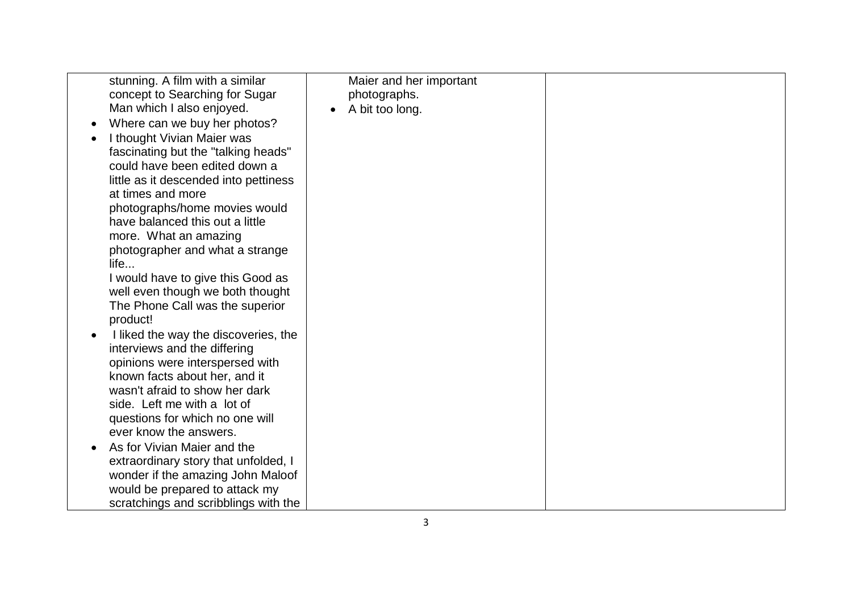| stunning. A film with a similar       | Maier and her important |  |
|---------------------------------------|-------------------------|--|
| concept to Searching for Sugar        | photographs.            |  |
| Man which I also enjoyed.             | A bit too long.         |  |
| Where can we buy her photos?          |                         |  |
| I thought Vivian Maier was            |                         |  |
| fascinating but the "talking heads"   |                         |  |
| could have been edited down a         |                         |  |
| little as it descended into pettiness |                         |  |
| at times and more                     |                         |  |
| photographs/home movies would         |                         |  |
| have balanced this out a little       |                         |  |
| more. What an amazing                 |                         |  |
| photographer and what a strange       |                         |  |
| life                                  |                         |  |
| I would have to give this Good as     |                         |  |
| well even though we both thought      |                         |  |
| The Phone Call was the superior       |                         |  |
| product!                              |                         |  |
| I liked the way the discoveries, the  |                         |  |
| interviews and the differing          |                         |  |
| opinions were interspersed with       |                         |  |
| known facts about her, and it         |                         |  |
| wasn't afraid to show her dark        |                         |  |
| side. Left me with a lot of           |                         |  |
| questions for which no one will       |                         |  |
| ever know the answers.                |                         |  |
| As for Vivian Maier and the           |                         |  |
| extraordinary story that unfolded, I  |                         |  |
| wonder if the amazing John Maloof     |                         |  |
| would be prepared to attack my        |                         |  |
| scratchings and scribblings with the  |                         |  |